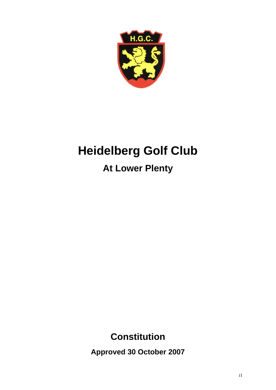

# **Heidelberg Golf Club**

# **At Lower Plenty**

## **Constitution**

**Approved 30 October 2007**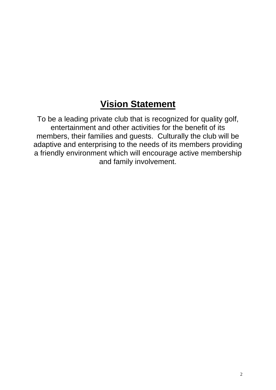## **Vision Statement**

To be a leading private club that is recognized for quality golf, entertainment and other activities for the benefit of its members, their families and guests. Culturally the club will be adaptive and enterprising to the needs of its members providing a friendly environment which will encourage active membership and family involvement.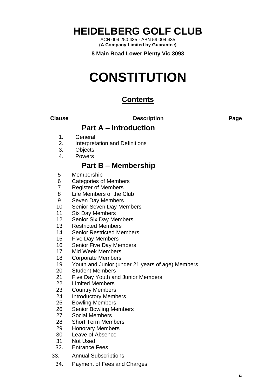**HEIDELBERG GOLF CLUB**

ACN 004 250 435 - ABN 59 004 435 **(A Company Limited by Guarantee)**

**8 Main Road Lower Plenty Vic 3093**

# **CONSTITUTION**

### **Contents**

**Clause Description Page**

### **Part A – Introduction**

- 1. General
- 2. Interpretation and Definitions
- 3. **Objects**
- 4. Powers

## **Part B – Membership**

- 5 Membership
- 6 Categories of Members
- 7 Register of Members
- 8 Life Members of the Club
- 9 Seven Day Members
- 10 Senior Seven Day Members
- 11 Six Day Members
- 12 Senior Six Day Members
- 13 Restricted Members
- 14 Senior Restricted Members
- 15 Five Day Members
- 16 Senior Five Day Members
- 17 Mid Week Members
- 18 Corporate Members
- 19 Youth and Junior (under 21 years of age) Members
- 20 Student Members
- 21 Five Day Youth and Junior Members
- 22 Limited Members
- 23 Country Members
- 24 Introductory Members
- 25 Bowling Members
- 26 Senior Bowling Members
- 27 Social Members
- 28 Short Term Members
- 29 Honorary Members
- 30 Leave of Absence
- 31 Not Used
- 32. Entrance Fees
- 33. Annual Subscriptions
	- 34. Payment of Fees and Charges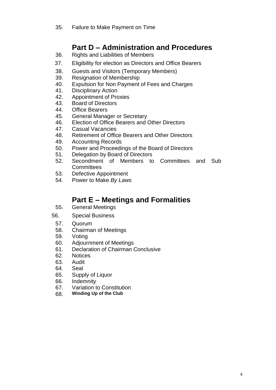## **Part D – Administration and Procedures**

- 36. Rights and Liabilities of Members
- 37. Eligibility for election as Directors and Office Bearers
- 38. Guests and Visitors (Temporary Members)
- 39. Resignation of Membership
- 40. Expulsion for Non Payment of Fees and Charges
- 41. Disciplinary Action
- 42. Appointment of Proxies
- 43. Board of Directors
- 44. Office Bearers
- 45. General Manager or Secretary
- 46. Election of Office Bearers and Other Directors
- 47. Casual Vacancies
- 48. Retirement of Office Bearers and Other Directors
- 49. Accounting Records
- 50. Power and Proceedings of the Board of Directors
- 51. Delegation by Board of Directors
- 52. Secondment of Members to Committees and Sub **Committees**
- 53. Defective Appointment
- 54. Power to Make *By Laws*

## **Part E – Meetings and Formalities**

- 55. General Meetings
- 56. Special Business
	- 57. Quorum
	- 58. Chairman of Meetings
	- 59. Voting
	- 60. Adjournment of Meetings
	- 61. Declaration of Chairman Conclusive
	- 62. Notices
	- 63. Audit
	- 64. Seal
	- 65. Supply of Liquor
	- 66. Indemnity
	- 67. Variation to Constitution
	- 68. **Winding Up of the Club**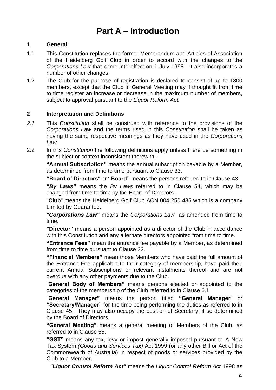## **Part A – Introduction**

#### **1 General**

- 1.1 This Constitution replaces the former Memorandum and Articles of Association of the Heidelberg Golf Club in order to accord with the changes to the *Corporations Law* that came into effect on 1 July 1998. It also incorporates a number of other changes.
- 1.2 The Club for the purpose of registration is declared to consist of up to 1800 members, except that the Club in General Meeting may if thought fit from time to time register an increase or decrease in the maximum number of members, subject to approval pursuant to the *Liquor Reform Act.*

#### **2 Interpretation and Definitions**

- *2.1* This *Constitution* shall be construed with reference to the provisions of the *Corporations Law* and the terms used in this *Constitution* shall be taken as having the same respective meanings as they have used in the *Corporations Law.*
- 2.2 In this *Constitution* the following definitions apply unless there be something in the subject or context inconsistent therewith:-

**"Annual Subscription"** means the annual subscription payable by a Member, as determined from time to time pursuant to Clause 33.

**"Board of Directors**" or **"Board"** means the persons referred to in Clause 43

**"***By Laws***"** means the *By Laws* referred to in Clause 54, which may be changed from time to time by the Board of Directors.

"**Club**" means the Heidelberg Golf Club ACN 004 250 435 which is a company Limited by Guarantee.

*"Corporations Law"* means the *Corporations Law* as amended from time to time.

**"Director"** means a person appointed as a director of the Club in accordance with this Constitution and any alternate directors appointed from time to time.

**"Entrance Fees"** mean the entrance fee payable by a Member, as determined from time to time pursuant to Clause 32.

**"Financial Members"** mean those Members who have paid the full amount of the Entrance Fee applicable to their category of membership, have paid their current Annual Subscriptions or relevant instalments thereof and are not overdue with any other payments due to the Club.

"**General Body of Members"** means persons elected or appointed to the categories of the membership of the Club referred to in Clause 6.1.

"**General Manager"** means the person titled **"General Manager**" or **"Secretary/Manager"** for the time being performing the duties as referred to in Clause 45. They may also occupy the position of Secretary, if so determined by the Board of Directors.

**"General Meeting"** means a general meeting of Members of the Club, as referred to in Clause 55.

**"GST"** means any tax, levy or impost generally imposed pursuant to A New Tax System *(Goods and Services Tax)* Act 1999 (or any other Bill or Act of the Commonwealth of Australia) in respect of goods or services provided by the Club to a Member.

*"Liquor Control Reform Act"* means the *Liquor Control Reform Act* 1998 as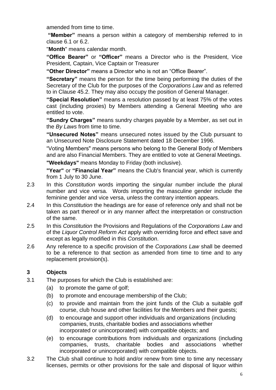amended from time to time.

**"Member"** means a person within a category of membership referred to in clause 6.1 or 6.2.

"**Month**" means calendar month.

**"Office Bearer"** or **"Officer"** means a Director who is the President, Vice President, Captain, Vice Captain or Treasurer

**"Other Director"** means a Director who is not an "Office Bearer".

**"Secretary"** means the person for the time being performing the duties of the Secretary of the Club for the purposes of the *Corporations Law* and as referred to in Clause 45.2. They may also occupy the position of General Manager.

**"Special Resolution"** means a resolution passed by at least 75% of the votes cast (including proxies) by Members attending a General Meeting who are entitled to vote.

**"Sundry Charges"** means sundry charges payable by a Member, as set out in the *By Laws* from time to time.

**"Unsecured Notes"** means unsecured notes issued by the Club pursuant to an Unsecured Note Disclosure Statement dated 18 December 1996.

"Voting Members" means persons who belong to the General Body of Members and are also Financial Members. They are entitled to vote at General Meetings. **"Weekdays"** means Monday to Friday (both inclusive).

**"Year"** or **"Financial Year"** means the Club's financial year, which is currently from 1 July to 30 June.

- 2.3 In this *Constitution* words importing the singular number include the plural number and vice versa. Words importing the masculine gender include the feminine gender and vice versa, unless the contrary intention appears.
- 2.4 In this *Constitution* the headings are for ease of reference only and shall not be taken as part thereof or in any manner affect the interpretation or construction of the same.
- 2.5 In this *Constitution* the Provisions and Regulations of the *Corporations Law* and of the *Liquor Control Reform Act* apply with overriding force and effect save and except as legally modified in this *Constitution*.
- 2.6 Any reference to a specific provision of the *Corporations Law* shall be deemed to be a reference to that section as amended from time to time and to any replacement provision(s).

#### **3 Objects**

- 3.1 The purposes for which the Club is established are:
	- (a) to promote the game of golf;
	- (b) to promote and encourage membership of the Club;
	- (c) to provide and maintain from the joint funds of the Club a suitable golf course, club house and other facilities for the Members and their guests;
	- (d) to encourage and support other individuals and organizations (including companies, trusts, charitable bodies and associations whether incorporated or unincorporated) with compatible objects; and
	- (e) to encourage contributions from individuals and organizations (including companies, trusts, charitable bodies and associations whether incorporated or unincorporated) with compatible objects.
- 3.2 The Club shall continue to hold and/or renew from time to time any necessary licenses, permits or other provisions for the sale and disposal of liquor within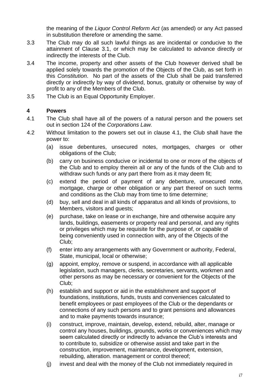the meaning of the *Liquor Control Reform Act* (as amended) or any Act passed in substitution therefore or amending the same.

- 3.3 The Club may do all such lawful things as are incidental or conducive to the attainment of Clause 3.1, or which may be calculated to advance directly or indirectly the interests of the Club.
- 3.4 The income, property and other assets of the Club however derived shall be applied solely towards the promotion of the Objects of the Club, as set forth in this *Constitution*. No part of the assets of the Club shall be paid transferred directly or indirectly by way of dividend, bonus, gratuity or otherwise by way of profit to any of the Members of the Club.
- 3.5 The Club is an Equal Opportunity Employer.

#### **4 Powers**

- 4.1 The Club shall have all of the powers of a natural person and the powers set out in section 124 of the *Corporations Law.*
- 4.2 Without limitation to the powers set out in clause 4.1, the Club shall have the power to:
	- (a) issue debentures, unsecured notes, mortgages, charges or other obligations of the Club;
	- (b) carry on business conducive or incidental to one or more of the objects of the Club and to employ therein all or any of the funds of the Club and to withdraw such funds or any part there from as it may deem fit;
	- (c) extend the period of payment of any debenture, unsecured note, mortgage, charge or other obligation or any part thereof on such terms and conditions as the Club may from time to time determine;
	- (d) buy, sell and deal in all kinds of apparatus and all kinds of provisions, to Members, visitors and guests;
	- (e) purchase, take on lease or in exchange, hire and otherwise acquire any lands, buildings, easements or property real and personal, and any rights or privileges which may be requisite for the purpose of, or capable of being conveniently used in connection with, any of the Objects of the Club;
	- (f) enter into any arrangements with any Government or authority, Federal, State, municipal, local or otherwise;
	- (g) appoint, employ, remove or suspend, in accordance with all applicable legislation, such managers, clerks, secretaries, servants, workmen and other persons as may be necessary or convenient for the Objects of the Club;
	- (h) establish and support or aid in the establishment and support of foundations, institutions, funds, trusts and conveniences calculated to benefit employees or past employees of the Club or the dependants or connections of any such persons and to grant pensions and allowances and to make payments towards insurance;
	- (i) construct, improve, maintain, develop, extend, rebuild, alter, manage or control any houses, buildings, grounds, works or conveniences which may seem calculated directly or indirectly to advance the Club's interests and to contribute to, subsidize or otherwise assist and take part in the construction, improvement, maintenance, development, extension, rebuilding, alteration. management or control thereof;
	- (j) invest and deal with the money of the Club not immediately required in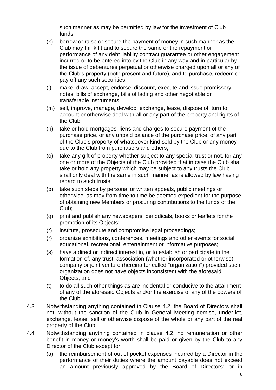such manner as may be permitted by law for the investment of Club funds;

- (k) borrow or raise or secure the payment of money in such manner as the Club may think fit and to secure the same or the repayment or performance of any debt liability contract guarantee or other engagement incurred or to be entered into by the Club in any way and in particular by the issue of debentures perpetual or otherwise charged upon all or any of the Club's property (both present and future), and to purchase, redeem or pay off any such securities;
- (l) make, draw, accept, endorse, discount, execute and issue promissory notes, bills of exchange, bills of lading and other negotiable or transferable instruments;
- (m) sell, improve, manage, develop, exchange, lease, dispose of, turn to account or otherwise deal with all or any part of the property and rights of the Club;
- (n) take or hold mortgages, liens and charges to secure payment of the purchase price, or any unpaid balance of the purchase price, of any part of the Club's property of whatsoever kind sold by the Club or any money due to the Club from purchasers and others;
- (o) take any gift of property whether subject to any special trust or not, for any one or more of the Objects of the Club provided that in case the Club shall take or hold any property which may be subject to any trusts the Club shall only deal with the same in such manner as is allowed by law having regard to such trusts;
- (p) take such steps by personal or written appeals, public meetings or otherwise, as may from time to time be deemed expedient for the purpose of obtaining new Members or procuring contributions to the funds of the Club;
- (q) print and publish any newspapers, periodicals, books or leaflets for the promotion of its Objects;
- (r) institute, prosecute and compromise legal proceedings;
- (r) organize exhibitions, conferences, meetings and other events for social, educational, recreational, entertainment or informative purposes;
- (s) have a direct or indirect interest in, or to establish or participate in the formation of, any trust, association (whether incorporated or otherwise), company or joint venture (hereinafter called "organization") provided such organization does not have objects inconsistent with the aforesaid Objects; and
- (t) to do all such other things as are incidental or conducive to the attainment of any of the aforesaid Objects and/or the exercise of any of the powers of the Club.
- 4.3 Notwithstanding anything contained in Clause 4.2, the Board of Directors shall not, without the sanction of the Club in General Meeting demise, under-let, exchange, lease, sell or otherwise dispose of the whole or any part of the real property of the Club.
- 4.4 Notwithstanding anything contained in clause 4.2, no remuneration or other benefit in money or money's worth shall be paid or given by the Club to any Director of the Club except for:
	- (a) the reimbursement of out of pocket expenses incurred by a Director in the performance of their duties where the amount payable does not exceed an amount previously approved by the Board of Directors; or in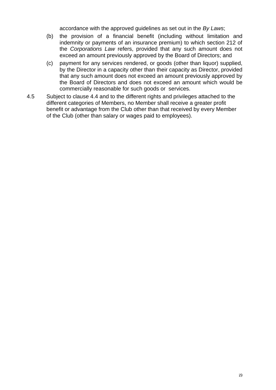accordance with the approved guidelines as set out in the *By Laws*;

- (b) the provision of a financial benefit (including without limitation and indemnity or payments of an insurance premium) to which section 212 of the *Corporations Law* refers, provided that any such amount does not exceed an amount previously approved by the Board of Directors; and
- (c) payment for any services rendered, or goods (other than liquor) supplied, by the Director in a capacity other than their capacity as Director, provided that any such amount does not exceed an amount previously approved by the Board of Directors and does not exceed an amount which would be commercially reasonable for such goods or services.
- 4.5 Subject to clause 4.4 and to the different rights and privileges attached to the different categories of Members, no Member shall receive a greater profit benefit or advantage from the Club other than that received by every Member of the Club (other than salary or wages paid to employees).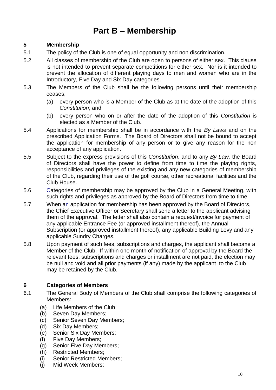## **Part B – Membership**

#### **5 Membership**

- 5.1 The policy of the Club is one of equal opportunity and non discrimination.
- 5.2 All classes of membership of the Club are open to persons of either sex. This clause is not intended to prevent separate competitions for either sex. Nor is it intended to prevent the allocation of different playing days to men and women who are in the Introductory, Five Day and Six Day categories.
- 5.3 The Members of the Club shall be the following persons until their membership ceases;
	- (a) every person who is a Member of the Club as at the date of the adoption of this *Constitution*; and
	- (b) every person who on or after the date of the adoption of this *Constitution* is elected as a Member of the Club.
- 5.4 Applications for membership shall be in accordance with the *By Laws* and on the prescribed Application Forms. The Board of Directors shall not be bound to accept the application for membership of any person or to give any reason for the non acceptance of any application.
- 5.5 Subject to the express provisions of this *Constitution*, and to any *By Law,* the Board of Directors shall have the power to define from time to time the playing rights, responsibilities and privileges of the existing and any new categories of membership of the Club, regarding their use of the golf course, other recreational facilities and the Club House.
- 5.6 Categories of membership may be approved by the Club in a General Meeting, with such rights and privileges as approved by the Board of Directors from time to time.
- 5.7 When an application for membership has been approved by the Board of Directors, the Chief Executive Officer or Secretary shall send a letter to the applicant advising them of the approval. The letter shall also contain a request/invoice for payment of any applicable Entrance Fee (or approved installment thereof), the Annual Subscription (or approved installment thereof), any applicable Building Levy and any applicable Sundry Charges.
- 5.8 Upon payment of such fees, subscriptions and charges, the applicant shall become a Member of the Club. If within one month of notification of approval by the Board the relevant fees, subscriptions and charges or installment are not paid, the election may be null and void and all prior payments (if any) made by the applicant to the Club may be retained by the Club.

#### **6 Categories of Members**

- 6.1 The General Body of Members of the Club shall comprise the following categories of Members:
	- (a) Life Members of the Club;
	- (b) Seven Day Members;
	- (c) Senior Seven Day Members;
	- (d) Six Day Members;
	- (e) Senior Six Day Members;
	- (f) Five Day Members;
	- (g) Senior Five Day Members;
	- (h) Restricted Members;
	- (i) Senior Restricted Members;
	- (j) Mid Week Members;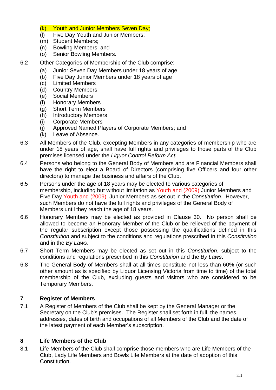- (k) Youth and Junior Members Seven Day;
- (l) Five Day Youth and Junior Members;
- (m) Student Members;
- (n) Bowling Members; and
- (o) Senior Bowling Members.
- 6.2 Other Categories of Membership of the Club comprise:
	- (a) Junior Seven Day Members under 18 years of age
	- (b) Five Day Junior Members under 18 years of age
	- (c) Limited Members
	- (d) Country Members
	- (e) Social Members
	- (f) Honorary Members
	- (g) Short Term Members
	- (h) Introductory Members
	- (i) Corporate Members
	- (j) Approved Named Players of Corporate Members; and
	- (k) Leave of Absence.
- 6.3 All Members of the Club, excepting Members in any categories of membership who are under 18 years of age, shall have full rights and privileges to those parts of the Club premises licensed under the *Liquor Control Reform Act.*
- 6.4 Persons who belong to the General Body of Members and are Financial Members shall have the right to elect a Board of Directors (comprising five Officers and four other directors) to manage the business and affairs of the Club.
- 6.5 Persons under the age of 18 years may be elected to various categories of membership, including but without limitation as Youth and (2009) Junior Members and Five Day Youth and (2009) Junior Members as set out in the *Constitution*. However, such Members do not have the full rights and privileges of the General Body of Members until they reach the age of 18 years.
- 6.6 Honorary Members may be elected as provided in Clause 30. No person shall be allowed to become an Honorary Member of the Club or be relieved of the payment of the regular subscription except those possessing the qualifications defined in this *Constitution* and subject to the conditions and regulations prescribed in this *Constitution* and in the *By Laws*.
- 6.7 Short Term Members may be elected as set out in this *Constitution*, subject to the conditions and regulations prescribed in this *Constitution* and the *By Laws*.
- 6.8 The General Body of Members shall at all times constitute not less than 60% (or such other amount as is specified by Liquor Licensing Victoria from time to time) of the total membership of the Club, excluding guests and visitors who are considered to be Temporary Members.

#### **7 Register of Members**

7.1 A Register of Members of the Club shall be kept by the General Manager or the Secretary on the Club's premises. The Register shall set forth in full, the names, addresses, dates of birth and occupations of all Members of the Club and the date of the latest payment of each Member's subscription.

#### **8 Life Members of the Club**

8.1 Life Members of the Club shall comprise those members who are Life Members of the Club, Lady Life Members and Bowls Life Members at the date of adoption of this Constitution.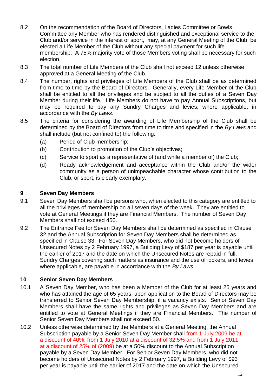- 8.2 On the recommendation of the Board of Directors, Ladies Committee or Bowls Committee any Member who has rendered distinguished and exceptional service to the Club and/or service in the interest of sport, may, at any General Meeting of the Club, be elected a Life Member of the Club without any special payment for such life membership. A 75% majority vote of those Members voting shall be necessary for such election.
- 8.3 The total number of Life Members of the Club shall not exceed 12 unless otherwise approved at a General Meeting of the Club.
- 8.4 The number, rights and privileges of Life Members of the Club shall be as determined from time to time by the Board of Directors. Generally, every Life Member of the Club shall be entitled to all the privileges and be subject to all the duties of a Seven Day Member during their life. Life Members do not have to pay Annual Subscriptions, but may be required to pay any Sundry Charges and levies, where applicable, in accordance with the *By Laws*.
- 8.5 The criteria for considering the awarding of Life Membership of the Club shall be determined by the Board of Directors from time to time and specified in the *By Laws* and shall include (but not confined to) the following:
	- (a) Period of Club membership;
	- (b) Contribution to promotion of the Club's objectives;
	- (c) Service to sport as a representative of (and while a member of) the Club;
	- (d) Ready acknowledgement and acceptance within the Club and/or the wider community as a person of unimpeachable character whose contribution to the Club, or sport, is clearly exemplary.

#### **9 Seven Day Members**

- 9.1 Seven Day Members shall be persons who, when elected to this category are entitled to all the privileges of membership on all seven days of the week. They are entitled to vote at General Meetings if they are Financial Members. The number of Seven Day Members shall not exceed 450.
- 9.2 The Entrance Fee for Seven Day Members shall be determined as specified in Clause 32 and the Annual Subscription for Seven Day Members shall be determined as specified in Clause 33. For Seven Day Members, who did not become holders of Unsecured Notes by 2 February 1997, a Building Levy of \$187 per year is payable until the earlier of 2017 and the date on which the Unsecured Notes are repaid in full. Sundry Charges covering such matters as insurance and the use of lockers, and levies where applicable, are payable in accordance with the *By Laws*.

#### **10 Senior Seven Day Members**

- 10.1 A Seven Day Member, who has been a Member of the Club for at least 25 years and who has attained the age of 65 years, upon application to the Board of Directors may be transferred to Senior Seven Day Membership, if a vacancy exists. Senior Seven Day Members shall have the same rights and privileges as Seven Day Members and are entitled to vote at General Meetings if they are Financial Members. The number of Senior Seven Day Members shall not exceed 50.
- 10.2 Unless otherwise determined by the Members at a General Meeting, the Annual Subscription payable by a Senior Seven Day Member shall from 1 July 2009 be at a discount of 40%, from 1 July 2010 at a discount of 32.5% and from 1 July 2011 at a discount of 25% of (2009) be at a 50% discount to the Annual Subscription payable by a Seven Day Member. For Senior Seven Day Members, who did not become holders of Unsecured Notes by 2 February 1997, a Building Levy of \$93 per year is payable until the earlier of 2017 and the date on which the Unsecured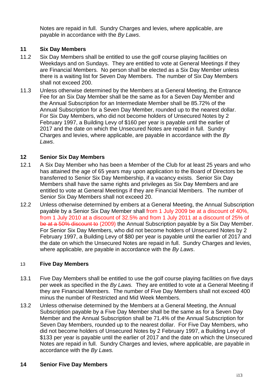Notes are repaid in full. Sundry Charges and levies, where applicable, are payable in accordance with the *By Laws*.

#### **11 Six Day Members**

- 11.2 Six Day Members shall be entitled to use the golf course playing facilities on Weekdays and on Sundays. They are entitled to vote at General Meetings if they are Financial Members. No person shall be elected as a Six Day Member unless there is a waiting list for Seven Day Members. The number of Six Day Members shall not exceed 200.
- 11.3 Unless otherwise determined by the Members at a General Meeting, the Entrance Fee for an Six Day Member shall be the same as for a Seven Day Member and the Annual Subscription for an Intermediate Member shall be 85.72% of the Annual Subscription for a Seven Day Member, rounded up to the nearest dollar. For Six Day Members, who did not become holders of Unsecured Notes by 2 February 1997, a Building Levy of \$160 per year is payable until the earlier of 2017 and the date on which the Unsecured Notes are repaid in full. Sundry Charges and levies, where applicable, are payable in accordance with the *By Laws*.

#### **12 Senior Six Day Members**

- 12.1 A Six Day Member who has been a Member of the Club for at least 25 years and who has attained the age of 65 years may upon application to the Board of Directors be transferred to Senior Six Day Membership, if a vacancy exists. Senior Six Day Members shall have the same rights and privileges as Six Day Members and are entitled to vote at General Meetings if they are Financial Members. The number of Senior Six Day Members shall not exceed 20.
- 12.2 Unless otherwise determined by embers at a General Meeting, the Annual Subscription payable by a Senior Six Day Member shall from 1 July 2009 be at a discount of 40%, from 1 July 2010 at a discount of 32.5% and from 1 July 2011 at a discount of 25% of be at a 50% discount to (2009) the Annual Subscription payable by a Six Day Member. For Senior Six Day Members, who did not become holders of Unsecured Notes by 2 February 1997, a Building Levy of \$80 per year is payable until the earlier of 2017 and the date on which the Unsecured Notes are repaid in full. Sundry Charges and levies, where applicable, are payable in accordance with the *By Laws*.

#### 13 **Five Day Members**

- 13.1 Five Day Members shall be entitled to use the golf course playing facilities on five days per week as specified in the *By Laws.* They are entitled to vote at a General Meeting if they are Financial Members. The number of Five Day Members shall not exceed 400 minus the number of Restricted and Mid Week Members.
- 13.2 Unless otherwise determined by the Members at a General Meeting, the Annual Subscription payable by a Five Day Member shall be the same as for a Seven Day Member and the Annual Subscription shall be 71.4% of the Annual Subscription for Seven Day Members, rounded up to the nearest dollar. For Five Day Members, who did not become holders of Unsecured Notes by 2 February 1997, a Building Levy of \$133 per year is payable until the earlier of 2017 and the date on which the Unsecured Notes are repaid in full. Sundry Charges and levies, where applicable, are payable in accordance with the *By Laws.*

#### **14 Senior Five Day Members**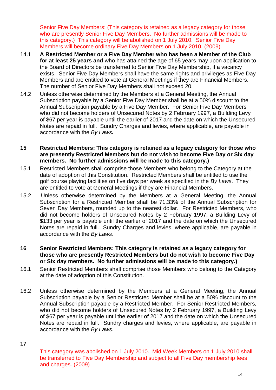Senior Five Day Members: (This category is retained as a legacy category for those who are presently Senior Five Day Members. No further admissions will be made to this category.) This category will be abolished on 1 July 2010. Senior Five Day Members will become ordinary Five Day Members on 1 July 2010. (2009).

- 14.1 **A Restricted Member or a Five Day Member who has been a Member of the Club for at least 25 years and** who has attained the age of 65 years may upon application to the Board of Directors be transferred to Senior Five Day Membership, if a vacancy exists. Senior Five Day Members shall have the same rights and privileges as Five Day Members and are entitled to vote at General Meetings if they are Financial Members. The number of Senior Five Day Members shall not exceed 20.
- 14.2 Unless otherwise determined by the Members at a General Meeting, the Annual Subscription payable by a Senior Five Day Member shall be at a 50% discount to the Annual Subscription payable by a Five Day Member. For Senior Five Day Members who did not become holders of Unsecured Notes by 2 February 1997, a Building Levy of \$67 per year is payable until the earlier of 2017 and the date on which the Unsecured Notes are repaid in full. Sundry Charges and levies, where applicable, are payable in accordance with the *By Laws***.**
- **15 Restricted Members: This category is retained as a legacy category for those who are presently Restricted Members but do not wish to become Five Day or Six day members. No further admissions will be made to this category.)**
- 15.1 Restricted Members shall comprise those Members who belong to the Category at the date of adoption of this Constitution. Restricted Members shall be entitled to use the golf course playing facilities on five days per week as specified in the *By Laws*. They are entitled to vote at General Meetings if they are Financial Members.
- 15.2 Unless otherwise determined by the Members at a General Meeting, the Annual Subscription for a Restricted Member shall be 71.33% of the Annual Subscription for Seven Day Members, rounded up to the nearest dollar. For Restricted Members, who did not become holders of Unsecured Notes by 2 February 1997, a Building Levy of \$133 per year is payable until the earlier of 2017 and the date on which the Unsecured Notes are repaid in full. Sundry Charges and levies, where applicable, are payable in accordance with the *By Laws*.
- **16 Senior Restricted Members: This category is retained as a legacy category for those who are presently Restricted Members but do not wish to become Five Day or Six day members. No further admissions will be made to this category.)**
- 16.1 Senior Restricted Members shall comprise those Members who belong to the Category at the date of adoption of this Constitution.
- 16.2 Unless otherwise determined by the Members at a General Meeting, the Annual Subscription payable by a Senior Restricted Member shall be at a 50% discount to the Annual Subscription payable by a Restricted Member. For Senior Restricted Members, who did not become holders of Unsecured Notes by 2 February 1997, a Building Levy of \$67 per year is payable until the earlier of 2017 and the date on which the Unsecured Notes are repaid in full. Sundry charges and levies, where applicable, are payable in accordance with the *By Laws*.

**17**

This category was abolished on 1 July 2010. Mid Week Members on 1 July 2010 shall be transferred to Five Day Membership and subject to all Five Day membership fees and charges. (2009)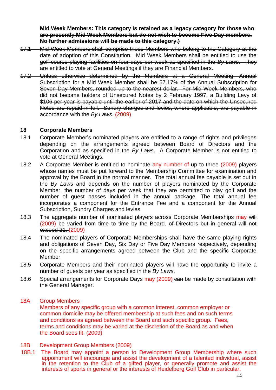**Mid Week Members: This category is retained as a legacy category for those who are presently Mid Week Members but do not wish to become Five Day members. No further admissions will be made to this category.)**

- 17.1 Mid Week Members shall comprise those Members who belong to the Category at the date of adoption of this Constitution. Mid Week Members shall be entitled to use the golf course playing facilities on four days per week as specified in the *By Laws*. They are entitled to vote at General Meetings if they are Financial Members.
- 17.2 Unless otherwise determined by the Members at a General Meeting, Annual Subscription for a Mid Week Member shall be 57.17% of the Annual Subscription for Seven Day Members, rounded up to the nearest dollar. For Mid Week Members, who did not become holders of Unsecured Notes by 2 February 1997, a Building Levy of \$106 per year is payable until the earlier of 2017 and the date on which the Unsecured Notes are repaid in full. Sundry charges and levies, where applicable, are payable in accordance with the *By Laws*. (2009)

#### **18 Corporate Members**

- 18.1 Corporate Member's nominated players are entitled to a range of rights and privileges depending on the arrangements agreed between Board of Directors and the Corporation and as specified in the *By Laws*. A Corporate Member is not entitled to vote at General Meetings.
- 18.2 A Corporate Member is entitled to nominate any number of up to three (2009) players whose names must be put forward to the Membership Committee for examination and approval by the Board in the normal manner. The total annual fee payable is set out in the *By Laws* and depends on the number of players nominated by the Corporate Member, the number of days per week that they are permitted to play golf and the number of guest passes included in the annual package. The total annual fee incorporates a component for the Entrance Fee and a component for the Annual Subscription, Sundry Charges and levies
- 18.3 The aggregate number of nominated players across Corporate Memberships may will (2009) be varied from time to time by the Board. of Directors but in general will not exceed 21. (2009)
- 18.4 The nominated players of Corporate Memberships shall have the same playing rights and obligations of Seven Day, Six Day or Five Day Members respectively, depending on the specific arrangements agreed between the Club and the specific Corporate Member.
- 18.5 Corporate Members and their nominated players will have the opportunity to invite a number of guests per year as specified in the *By Laws*.
- 18.6 Special arrangements for Corporate Days may (2009) can be made by consultation with the General Manager.

#### 18A Group Members

Members of any specific group with a common interest, common employer or common domicile may be offered membership at such fees and on such terms and conditions as agreed between the Board and such specific group. Fees, terms and conditions may be varied at the discretion of the Board as and when the Board sees fit. (2009)

#### 18B Development Group Members (2009)

18B.1 The Board may appoint a person to Development Group Membership where such appointment will encourage and assist the development of a talented individual, assist in the retention to the Club of a gifted player, or generally promote and assist the interests of sports in general or the interests of Heidelberg Golf Club in particular.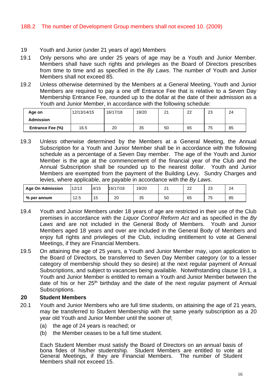#### 19 Youth and Junior (under 21 years of age) Members

- 19.1 Only persons who are under 25 years of age may be a Youth and Junior Member. Members shall have such rights and privileges as the Board of Directors prescribes from time to time and as specified in the *By Laws*. The number of Youth and Junior Members shall not exceed 85.
- 19.2 Unless otherwise determined by the Members at a General Meeting, Youth and Junior Members are required to pay a one off Entrance Fee that is relative to a Seven Day Membership Entrance Fee, rounded up to the dollar at the date of their admission as a Youth and Junior Member, in accordance with the following schedule:

| Age on                  | 12/13/14/15 | 16/17/18 | 19/20 | $\Omega$<br>∠ | 22 | 23 | 24 |
|-------------------------|-------------|----------|-------|---------------|----|----|----|
| <b>Admission</b>        |             |          |       |               |    |    |    |
| <b>Entrance Fee (%)</b> | 16.5        | 20       | 35    | 50            | 65 | 75 | 85 |

19.3 Unless otherwise determined by the Members at a General Meeting, the Annual Subscription for a Youth and Junior Member shall be in accordance with the following schedule as a percentage of a Seven Day member. The age of the Youth and Junior Member is the age at the commencement of the financial year of the Club and the Annual Subscription shall be rounded up to the nearest dollar. Youth and Junior Members are exempted from the payment of the Building Levy. Sundry Charges and levies, where applicable, are payable in accordance with the *By Laws*.

| <b>Age On Admission</b> | 12/13 | 4/15 | 16/17/18 | 19/20   | n, | $\sim$<br>∠∠ | $\sim$<br>∠J                    | 24 |
|-------------------------|-------|------|----------|---------|----|--------------|---------------------------------|----|
| % per annum             | 12.5  | 15   | 20       | つよ<br>ິ | 50 | 65           | $\overline{\phantom{a}}$<br>ن ' | 85 |

- 19.4 Youth and Junior Members under 18 years of age are restricted in their use of the Club premises in accordance with the *Liquor Control Reform Act* and as specified in the *By Laws* and are not included in the General Body of Members. Youth and Junior Members aged 18 years and over are included in the General Body of Members and enjoy full rights and privileges of the Club, including entitlement to vote at General Meetings, if they are Financial Members.
- 19.5 On attaining the age of 25 years, a Youth and Junior Member may, upon application to the Board of Directors, be transferred to Seven Day Member category (or to a lesser category of membership should they so desire) at the next regular payment of Annual Subscriptions, and subject to vacancies being available. Notwithstanding clause 19.1, a Youth and Junior Member is entitled to remain a Youth and Junior Member between the date of his or her  $25<sup>th</sup>$  birthday and the date of the next regular payment of Annual Subscriptions.

#### **20 Student Members**

- 20.1 Youth and Junior Members who are full time students, on attaining the age of 21 years, may be transferred to Student Membership with the same yearly subscription as a 20 year old Youth and Junior Member until the sooner of;
	- (a) the age of 24 years is reached; or
	- (b) the Member ceases to be a full time student.

Each Student Member must satisfy the Board of Directors on an annual basis of bona fides of his/her studentship. Student Members are entitled to vote at General Meetings, if they are Financial Members. The number of Student Members shall not exceed 15.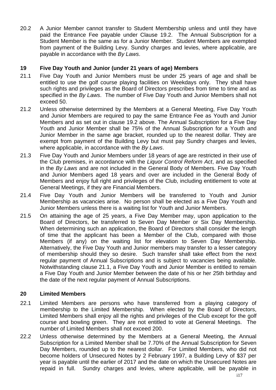20.2 A Junior Member cannot transfer to Student Membership unless and until they have paid the Entrance Fee payable under Clause 19.2. The Annual Subscription for a Student Member is the same as for a Junior Member. Student Members are exempted from payment of the Building Levy. Sundry charges and levies, where applicable, are payable in accordance with the *By Laws*.

#### **19 Five Day Youth and Junior (under 21 years of age) Members**

- 21.1 Five Day Youth and Junior Members must be under 25 years of age and shall be entitled to use the golf course playing facilities on Weekdays only. They shall have such rights and privileges as the Board of Directors prescribes from time to time and as specified in the *By Laws*. The number of Five Day Youth and Junior Members shall not exceed 50.
- 21.2 Unless otherwise determined by the Members at a General Meeting, Five Day Youth and Junior Members are required to pay the same Entrance Fee as Youth and Junior Members and as set out in clause 19.2 above. The Annual Subscription for a Five Day Youth and Junior Member shall be 75% of the Annual Subscription for a Youth and Junior Member in the same age bracket, rounded up to the nearest dollar. They are exempt from payment of the Building Levy but must pay Sundry charges and levies, where applicable, in accordance with the *By Laws*.
- 21.3 Five Day Youth and Junior Members under 18 years of age are restricted in their use of the Club premises, in accordance with the *Liquor Control Reform Act*, and as specified in the *By Laws* and are not included in the General Body of Members. Five Day Youth and Junior Members aged 18 years and over are included in the General Body of Members and enjoy full right and privileges of the Club, including entitlement to vote at General Meetings, if they are Financial Members.
- 21.4 Five Day Youth and Junior Members will be transferred to Youth and Junior Membership as vacancies arise. No person shall be elected as a Five Day Youth and Junior Members unless there is a waiting list for Youth and Junior Members.
- 21.5 On attaining the age of 25 years, a Five Day Member may, upon application to the Board of Directors, be transferred to Seven Day Member or Six Day Membership. When determining such an application, the Board of Directors shall consider the length of time that the applicant has been a Member of the Club, compared with those Members (if any) on the waiting list for elevation to Seven Day Membership. Alternatively, the Five Day Youth and Junior members may transfer to a lesser category of membership should they so desire. Such transfer shall take effect from the next regular payment of Annual Subscriptions and is subject to vacancies being available. Notwithstanding clause 21.1, a Five Day Youth and Junior Member is entitled to remain a Five Day Youth and Junior Member between the date of his or her 25th birthday and the date of the next regular payment of Annual Subscriptions.

#### **20 Limited Members**

- 22.1 Limited Members are persons who have transferred from a playing category of membership to the Limited Membership. When elected by the Board of Directors, Limited Members shall enjoy all the rights and privileges of the Club except for the golf course and bowling green. They are not entitled to vote at General Meetings. The number of Limited Members shall not exceed 200.
- 22.2 Unless otherwise determined by the Members at a General Meeting, the Annual Subscription for a Limited Member shall be 7.70% of the Annual Subscription for Seven Day Members, rounded up to the nearest dollar. For Limited Members, who did not become holders of Unsecured Notes by 2 February 1997, a Building Levy of \$37 per year is payable until the earlier of 2017 and the date on which the Unsecured Notes are repaid in full. Sundry charges and levies, where applicable, will be payable in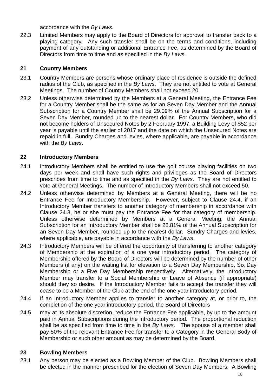accordance with the *By Laws*.

22.3 Limited Members may apply to the Board of Directors for approval to transfer back to a playing category. Any such transfer shall be on the terms and conditions, including payment of any outstanding or additional Entrance Fee, as determined by the Board of Directors from time to time and as specified in the *By Laws.*

#### **21 Country Members**

- 23.1 Country Members are persons whose ordinary place of residence is outside the defined radius of the Club, as specified in the *By Laws*. They are not entitled to vote at General Meetings. The number of Country Members shall not exceed 20.
- 23.2 Unless otherwise determined by the Members at a General Meeting, the Entrance Fee for a Country Member shall be the same as for an Seven Day Member and the Annual Subscription for a Country Member shall be 29.09% of the Annual Subscription for a Seven Day Member, rounded up to the nearest dollar. For Country Members, who did not become holders of Unsecured Notes by 2 February 1997, a Building Levy of \$52 per year is payable until the earlier of 2017 and the date on which the Unsecured Notes are repaid in full. Sundry Charges and levies, where applicable, are payable in accordance with the *By Laws*.

#### **22 Introductory Members**

- 24.1 Introductory Members shall be entitled to use the golf course playing facilities on two days per week and shall have such rights and privileges as the Board of Directors prescribes from time to time and as specified in the *By Laws*. They are not entitled to vote at General Meetings. The number of Introductory Members shall not exceed 50.
- 24.2 Unless otherwise determined by Members at a General Meeting, there will be no Entrance Fee for Introductory Membership. However, subject to Clause 24.4, if an Introductory Member transfers to another category of membership in accordance with Clause 24.3, he or she must pay the Entrance Fee for that category of membership. Unless otherwise determined by Members at a General Meeting, the Annual Subscription for an Introductory Member shall be 28.81% of the Annual Subscription for an Seven Day Member, rounded up to the nearest dollar. Sundry Charges and levies, where applicable, are payable in accordance with the *By Laws*.
- 24.3 Introductory Members will be offered the opportunity of transferring to another category of Membership at the expiration of a one year introductory period. The category of Membership offered by the Board of Directors will be determined by the number of other Members (if any) on the waiting list for elevation to a Seven Day Membership, Six Day Membership or a Five Day Membership respectively. Alternatively, the Introductory Member may transfer to a Social Membership or Leave of Absence (if appropriate) should they so desire. If the Introductory Member fails to accept the transfer they will cease to be a Member of the Club at the end of the one year introductory period.
- 24.4 If an Introductory Member applies to transfer to another category at, or prior to, the completion of the one year introductory period, the Board of Directors
- 24.5 may at its absolute discretion, reduce the Entrance Fee applicable, by up to the amount paid in Annual Subscriptions during the introductory period. The proportional reduction shall be as specified from time to time in the *By Laws*. The spouse of a member shall pay 50% of the relevant Entrance Fee for transfer to a Category in the General Body of Membership or such other amount as may be determined by the Board.

#### **23 Bowling Members**

23.1 Any person may be elected as a Bowling Member of the Club. Bowling Members shall be elected in the manner prescribed for the election of Seven Day Members. A Bowling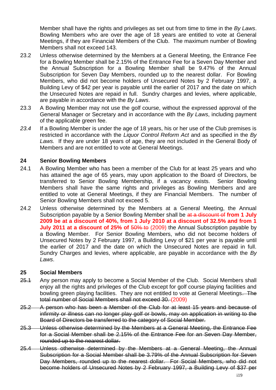Member shall have the rights and privileges as set out from time to time in the *By Laws*. Bowling Members who are over the age of 18 years are entitled to vote at General Meetings, if they are Financial Members of the Club. The maximum number of Bowling Members shall not exceed 143.

- 23.2 Unless otherwise determined by the Members at a General Meeting, the Entrance Fee for a Bowling Member shall be 2.15% of the Entrance Fee for a Seven Day Member and the Annual Subscription for a Bowling Member shall be 9.47% of the Annual Subscription for Seven Day Members, rounded up to the nearest dollar. For Bowling Members, who did not become holders of Unsecured Notes by 2 February 1997, a Building Levy of \$42 per year is payable until the earlier of 2017 and the date on which the Unsecured Notes are repaid in full. Sundry charges and levies, where applicable, are payable in accordance with the *By Laws*.
- 23.3 A Bowling Member may not use the golf course, without the expressed approval of the General Manager or Secretary and in accordance with the *By Laws*, including payment of the applicable green fee.
- *23.4* If a Bowling Member is under the age of 18 years, his or her use of the Club premises is restricted in accordance with the *Liquor Control Reform Act* and as specified in the *By Laws.* If they are under 18 years of age, they are not included in the General Body of Members and are not entitled to vote at General Meetings.

#### **24 Senior Bowling Members**

- 24.1 A Bowling Member who has been a member of the Club for at least 25 years and who has attained the age of 65 years, may upon application to the Board of Directors, be transferred to Senior Bowling Membership, if a vacancy exists. Senior Bowling Members shall have the same rights and privileges as Bowling Members and are entitled to vote at General Meetings, if they are Financial Members. The number of Senior Bowling Members shall not exceed 5.
- 24.2 Unless otherwise determined by the Members at a General Meeting, the Annual Subscription payable by a Senior Bowling Member shall be at a discount of **from 1 July 2009 be at a discount of 40%, from 1 July 2010 at a discount of 32.5% and from 1 July 2011 at a discount of 25% of 50% to (2009) the Annual Subscription payable by** a Bowling Member. For Senior Bowling Members, who did not become holders of Unsecured Notes by 2 February 1997, a Building Levy of \$21 per year is payable until the earlier of 2017 and the date on which the Unsecured Notes are repaid in full. Sundry Charges and levies, where applicable, are payable in accordance with the *By Laws*.

#### **25 Social Members**

- 25.1 Any person may apply to become a Social Member of the Club. Social Members shall enjoy all the rights and privileges of the Club except for golf course playing facilities and bowling green playing facilities. They are not entitled to vote at General Meetings. The total number of Social Members shall not exceed 30. (2009)
- 25.2 A person who has been a Member of the Club for at least 15 years and because of infirmity or illness can no longer play golf or bowls, may on application in writing to the Board of Directors be transferred to the category of Social Member.
- 25.3 Unless otherwise determined by the Members at a General Meeting, the Entrance Fee for a Social Member shall be 2.15% of the Entrance Fee for an Seven Day Member, rounded up to the nearest dollar.
- 25.4 Unless otherwise determined by the Members at a General Meeting, the Annual Subscription for a Social Member shall be 3.79% of the Annual Subscription for Seven Day Members, rounded up to the nearest dollar. For Social Members, who did not become holders of Unsecured Notes by 2 February 1997, a Building Levy of \$37 per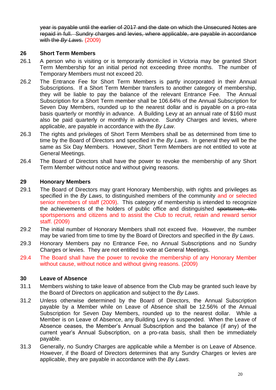year is payable until the earlier of 2017 and the date on which the Unsecured Notes are repaid in full. Sundry charges and levies, where applicable, are payable in accordance with the *By Laws*. (2009)

#### **26 Short Term Members**

- 26.1 A person who is visiting or is temporarily domiciled in Victoria may be granted Short Term Membership for an initial period not exceeding three months. The number of Temporary Members must not exceed 20.
- 26.2 The Entrance Fee for Short Term Members is partly incorporated in their Annual Subscriptions. If a Short Term Member transfers to another category of membership, they will be liable to pay the balance of the relevant Entrance Fee. The Annual Subscription for a Short Term member shall be 106.64% of the Annual Subscription for Seven Day Members, rounded up to the nearest dollar and is payable on a pro-rata basis quarterly or monthly in advance. A Building Levy at an annual rate of \$160 must also be paid quarterly or monthly in advance. Sundry Charges and levies, where applicable, are payable in accordance with the *By Law*.
- 26.3 The rights and privileges of Short Term Members shall be as determined from time to time by the Board of Directors and specified in the *By Laws*. In general they will be the same as Six Day Members. However, Short Term Members are not entitled to vote at General Meetings.
- 26.4 The Board of Directors shall have the power to revoke the membership of any Short Term Member without notice and without giving reasons.

#### **29 Honorary Members**

- 29.1 The Board of Directors may grant Honorary Membership, with rights and privileges as specified in the *By Laws*, to distinguished members of the community and or selected senior members of staff (2009). This category of membership is intended to recognize the achievements of the holders of public office and distinguished sportsmen, etc. sportspersons and citizens and to assist the Club to recruit, retain and reward senior staff. (2009)
- 29.2 The initial number of Honorary Members shall not exceed five. However, the number may be varied from time to time by the Board of Directors and specified in the *By Laws*.
- 29.3 Honorary Members pay no Entrance Fee, no Annual Subscriptions and no Sundry Charges or levies. They are not entitled to vote at General Meetings.
- 29.4 The Board shall have the power to revoke the membership of any Honorary Member without cause, without notice and without giving reasons. (2009)

#### **30 Leave of Absence**

- 31.1 Members wishing to take leave of absence from the Club may be granted such leave by the Board of Directors on application and subject to the *By Laws*.
- 31.2 Unless otherwise determined by the Board of Directors, the Annual Subscription payable by a Member while on Leave of Absence shall be 12.56% of the Annual Subscription for Seven Day Members, rounded up to the nearest dollar. While a Member is on Leave of Absence, any Building Levy is suspended. When the Leave of Absence ceases, the Member's Annual Subscription and the balance (if any) of the current year's Annual Subscription, on a pro-rata basis, shall then be immediately payable.
- 31.3 Generally, no Sundry Charges are applicable while a Member is on Leave of Absence. However, if the Board of Directors determines that any Sundry Charges or levies are applicable, they are payable in accordance with the *By Laws*.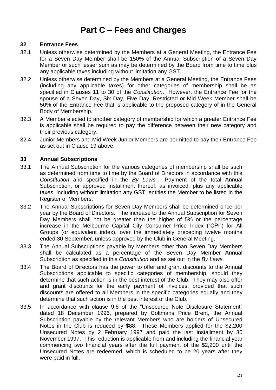## **Part C – Fees and Charges**

#### **32 Entrance Fees**

- 32.1 Unless otherwise determined by the Members at a General Meeting, the Entrance Fee for a Seven Day Member shall be 150% of the Annual Subscription of a Seven Day Member or such lesser sum as may be determined by the Board from time to time plus any applicable taxes including without limitation any GST.
- 32.2 Unless otherwise determined by the Members at a General Meeting, the Entrance Fees (including any applicable taxes) for other categories of membership shall be as specified in Clauses 11 to 30 of the *Constitution*. However, the Entrance Fee for the spouse of a Seven Day, Six Day, Five Day, Restricted or Mid Week Member shall be 50% of the Entrance Fee that is applicable to the proposed category of in the General Body of Membership.
- 32.3 A Member elected to another category of membership for which a greater Entrance Fee is applicable shall be required to pay the difference between their new category and their previous category.
- 32.4 Junior Members and Mid Week Junior Members are permitted to pay their Entrance Fee as set out in Clause 19 above.

#### **33 Annual Subscriptions**

- 33.1 The Annual Subscription for the various categories of membership shall be such as determined from time to time by the Board of Directors in accordance with this *Constitution* and specified in the *By Laws.* Payment of the total Annual Subscription, or approved installment thereof, as invoiced, plus any applicable taxes, including without limitation any GST, entitles the Member to be listed in the Register of Members.
- 33.2 The Annual Subscriptions for Seven Day Members shall be determined once per year by the Board of Directors. The increase to the Annual Subscription for Seven Day Members shall not be greater than the higher of 5% or the percentage increase in the Melbourne Capital City Consumer Price Index ("CPI") for All Groups (or equivalent index), over the immediately preceding twelve months ended 30 September, unless approved by the Club in General Meeting.
- 33.3 The Annual Subscriptions payable by Members other than Seven Day Members shall be calculated as a percentage of the Seven Day Member Annual Subscription as specified in this *Constitution* and as set out in the *By Laws.*
- 33.4 The Board of Directors has the power to offer and grant discounts to the Annual Subscriptions applicable to specific categories of membership, should they determine that such action is in the best interest of the Club. They may also offer and grant discounts for the early payment of invoices, provided that such discounts are offered to all Members in the specific categories equally and they determine that such action is in the best interest of the Club.
- 33.5 In accordance with clause 9.6 of the "Unsecured Note Disclosure Statement" dated 18 December 1996, prepared by Coltmans Price Brent, the Annual Subscription payable by the relevant Members who are holders of Unsecured Notes in the Club is reduced by \$88. These Members applied for the \$2,200 Unsecured Notes by 2 February 1997 and paid the last installment by 30 November 1997. This reduction is applicable from and including the financial year commencing two financial years after the full payment of the \$2,200 until the Unsecured Notes are redeemed, which is scheduled to be 20 years after they were paid in full.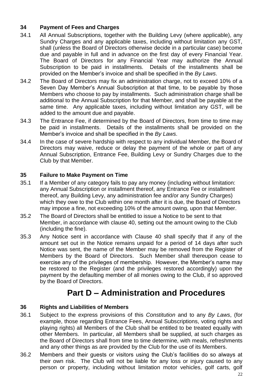#### **34 Payment of Fees and Charges**

- 34.1 All Annual Subscriptions, together with the Building Levy (where applicable), any Sundry Charges and any applicable taxes, including without limitation any GST, shall (unless the Board of Directors otherwise decide in a particular case) become due and payable in full and in advance on the first day of every Financial Year. The Board of Directors for any Financial Year may authorize the Annual Subscription to be paid in installments. Details of the installments shall be provided on the Member's invoice and shall be specified in the *By Laws*.
- 34.2 The Board of Directors may fix an administration charge, not to exceed 10% of a Seven Day Member's Annual Subscription at that time, to be payable by those Members who choose to pay by installments. Such administration charge shall be additional to the Annual Subscription for that Member, and shall be payable at the same time. Any applicable taxes, including without limitation any GST, will be added to the amount due and payable.
- 34.3 The Entrance Fee, if determined by the Board of Directors, from time to time may be paid in installments. Details of the installments shall be provided on the Member's invoice and shall be specified in the *By Laws*.
- 34.4 In the case of severe hardship with respect to any individual Member, the Board of Directors may waive, reduce or delay the payment of the whole or part of any Annual Subscription, Entrance Fee, Building Levy or Sundry Charges due to the Club by that Member.

#### **35 Failure to Make Payment on Time**

- 35.1 If a Member of any category fails to pay any money (including without limitation: any Annual Subscription or installment thereof, any Entrance Fee or installment thereof, any Building Levy, any administration fee and/or any Sundry Charges) which they owe to the Club within one month after it is due, the Board of Directors may impose a fine, not exceeding 10% of the amount owing, upon that Member.
- 35.2 The Board of Directors shall be entitled to issue a Notice to be sent to that Member, in accordance with clause 40, setting out the amount owing to the Club (including the fine).
- 35.3 Any Notice sent in accordance with Clause 40 shall specify that if any of the amount set out in the Notice remains unpaid for a period of 14 days after such Notice was sent, the name of the Member may be removed from the Register of Members by the Board of Directors. Such Member shall thereupon cease to exercise any of the privileges of membership. However, the Member's name may be restored to the Register (and the privileges restored accordingly) upon the payment by the defaulting member of all monies owing to the Club, if so approved by the Board of Directors.

## **Part D – Administration and Procedures**

#### **36 Rights and Liabilities of Members**

- 36.1 Subject to the express provisions of this *Constitution* and to any *By Laws*, (for example, those regarding Entrance Fees, Annual Subscriptions, voting rights and playing rights) all Members of the Club shall be entitled to be treated equally with other Members. In particular, all Members shall be supplied, at such charges as the Board of Directors shall from time to time determine, with meals, refreshments and any other things as are provided by the Club for the use of its Members.
- 36.2 Members and their guests or visitors using the Club's facilities do so always at their own risk. The Club will not be liable for any loss or injury caused to any person or property, including without limitation motor vehicles, golf carts, golf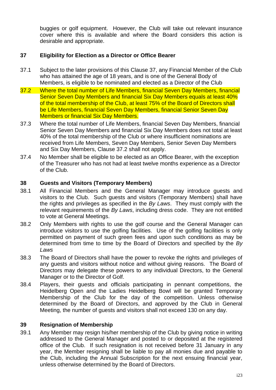buggies or golf equipment. However, the Club will take out relevant insurance cover where this is available and where the Board considers this action is desirable and appropriate.

#### **37 Eligibility for Election as a Director or Office Bearer**

- 37.1 Subject to the later provisions of this Clause 37, any Financial Member of the Club who has attained the age of 18 years, and is one of the General Body of Members, is eligible to be nominated and elected as a Director of the Club
- 37.2 Where the total number of Life Members, financial Seven Day Members, financial Senior Seven Day Members and financial Six Day Members equals at least 40% of the total membership of the Club, at least 75% of the Board of Directors shall be Life Members, financial Seven Day Members, financial Senior Seven Day Members or financial Six Day Members.
- 37.3 Where the total number of Life Members, financial Seven Day Members, financial Senior Seven Day Members and financial Six Day Members does not total at least 40% of the total membership of the Club or where insufficient nominations are received from Life Members, Seven Day Members, Senior Seven Day Members and Six Day Members, Clause 37.2 shall not apply.
- 37.4 No Member shall be eligible to be elected as an Office Bearer, with the exception of the Treasurer who has not had at least twelve months experience as a Director of the Club.

#### **38 Guests and Visitors (Temporary Members)**

- 38.1 All Financial Members and the General Manager may introduce guests and visitors to the Club. Such guests and visitors (Temporary Members) shall have the rights and privileges as specified in the *By Laws*. They must comply with the relevant requirements of the *By Laws*, including dress code. They are not entitled to vote at General Meetings.
- 38.2 Only Members with rights to use the golf course and the General Manager can introduce visitors to use the golfing facilities. Use of the golfing facilities is only permitted on payment of such green fees and upon such conditions as may be determined from time to time by the Board of Directors and specified by the *By Laws*
- 38.3 The Board of Directors shall have the power to revoke the rights and privileges of any guests and visitors without notice and without giving reasons. The Board of Directors may delegate these powers to any individual Directors, to the General Manager or to the Director of Golf.
- 38.4 Players, their guests and officials participating in pennant competitions, the Heidelberg Open and the Ladies Heidelberg Bowl will be granted Temporary Membership of the Club for the day of the competition. Unless otherwise determined by the Board of Directors, and approved by the Club in General Meeting, the number of guests and visitors shall not exceed 130 on any day.

#### **39 Resignation of Membership**

39.1 Any Member may resign his/her membership of the Club by giving notice in writing addressed to the General Manager and posted to or deposited at the registered office of the Club. If such resignation is not received before 31 January in any year, the Member resigning shall be liable to pay all monies due and payable to the Club, including the Annual Subscription for the next ensuing financial year, unless otherwise determined by the Board of Directors.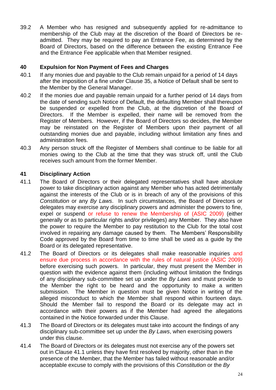39.2 A Member who has resigned and subsequently applied for re-admittance to membership of the Club may at the discretion of the Board of Directors be readmitted. They may be required to pay an Entrance Fee, as determined by the Board of Directors, based on the difference between the existing Entrance Fee and the Entrance Fee applicable when that Member resigned.

#### **40 Expulsion for Non Payment of Fees and Charges**

- 40.1 If any monies due and payable to the Club remain unpaid for a period of 14 days after the imposition of a fine under Clause 35, a Notice of Default shall be sent to the Member by the General Manager.
- 40.2 If the monies due and payable remain unpaid for a further period of 14 days from the date of sending such Notice of Default, the defaulting Member shall thereupon be suspended or expelled from the Club, at the discretion of the Board of Directors. If the Member is expelled, their name will be removed from the Register of Members. However, if the Board of Directors so decides, the Member may be reinstated on the Register of Members upon their payment of all outstanding monies due and payable, including without limitation any fines and administration fees.
- 40.3 Any person struck off the Register of Members shall continue to be liable for all monies owing to the Club at the time that they was struck off, until the Club receives such amount from the former Member.

#### **41 Disciplinary Action**

- 41.1 The Board of Directors or their delegated representatives shall have absolute power to take disciplinary action against any Member who has acted detrimentally against the interests of the Club or is in breach of any of the provisions of this *Constitution* or any *By Laws*. In such circumstances, the Board of Directors or delegates may exercise any disciplinary powers and administer the powers to fine, expel or suspend or refuse to renew the Membership of (ASIC 2009) (either generally or as to particular rights and/or privileges) any Member. They also have the power to require the Member to pay restitution to the Club for the total cost involved in repairing any damage caused by them. The Members' Responsibility Code approved by the Board from time to time shall be used as a guide by the Board or its delegated representative.
- 41.2 The Board of Directors or its delegates shall make reasonable inquiries and ensure due process in accordance with the rules of natural justice (ASIC 2009) before exercising such powers. In particular, they must present the Member in question with the evidence against them (including without limitation the findings of any disciplinary sub-committee set up under the *By Laws* and must provide to the Member the right to be heard and the opportunity to make a written submission. The Member in question must be given Notice in writing of the alleged misconduct to which the Member shall respond within fourteen days. Should the Member fail to respond the Board or its delegate may act in accordance with their powers as if the Member had agreed the allegations contained in the Notice forwarded under this Clause.
- 41.3 The Board of Directors or its delegates must take into account the findings of any disciplinary sub-committee set up under the *By Laws*, when exercising powers under this clause.
- 41.4 The Board of Directors or its delegates must not exercise any of the powers set out in Clause 41.1 unless they have first resolved by majority, other than in the presence of the Member, that the Member has failed without reasonable and/or acceptable excuse to comply with the provisions of this *Constitution* or the *By*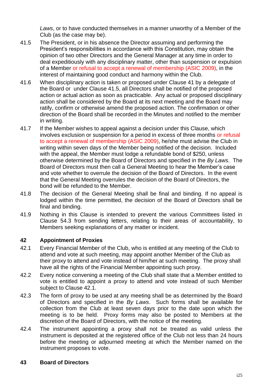*Laws*, or to have conducted themselves in a manner unworthy of a Member of the Club (as the case may be).

- 41.5 The President, or in his absence the Director assuming and performing the President's responsibilities in accordance with this Constitution, may obtain the opinion of two other Directors and the General Manager at any time in order to deal expeditiously with any disciplinary matter, other than suspension or expulsion of a Member or refusal to accept a renewal of membership (ASIC 2009), in the interest of maintaining good conduct and harmony within the Club.
- 41.6 When disciplinary action is taken or proposed under Clause 41 by a delegate of the Board or under Clause 41.5, all Directors shall be notified of the proposed action or actual action as soon as practicable. Any actual or proposed disciplinary action shall be considered by the Board at its next meeting and the Board may ratify, confirm or otherwise amend the proposed action. The confirmation or other direction of the Board shall be recorded in the Minutes and notified to the member in writing.
- 41.7 If the Member wishes to appeal against a decision under this Clause, which involves exclusion or suspension for a period in excess of three months or refusal to accept a renewal of membership (ASIC 2009), he/she must advise the Club in writing within seven days of the Member being notified of the decision. Included with the appeal, the Member must lodge a refundable bond of \$250, unless otherwise determined by the Board of Directors and specified in the *By Laws*. The Board of Directors must then call a General Meeting to hear the Member's case and vote whether to overrule the decision of the Board of Directors. In the event that the General Meeting overrules the decision of the Board of Directors, the bond will be refunded to the Member.
- 41.8 The decision of the General Meeting shall be final and binding. If no appeal is lodged within the time permitted, the decision of the Board of Directors shall be final and binding.
- 41.9 Nothing in this Clause is intended to prevent the various Committees listed in Clause 54.3 from sending letters, relating to their areas of accountability, to Members seeking explanations of any matter or incident.

#### **42 Appointment of Proxies**

- 42.1 Every Financial Member of the Club, who is entitled at any meeting of the Club to attend and vote at such meeting, may appoint another Member of the Club as their proxy to attend and vote instead of him/her at such meeting. The proxy shall have all the rights of the Financial Member appointing such proxy.
- 42.2 Every notice convening a meeting of the Club shall state that a Member entitled to vote is entitled to appoint a proxy to attend and vote instead of such Member subject to Clause 42.1.
- 42.3 The form of proxy to be used at any meeting shall be as determined by the Board of Directors and specified in the *By Laws*. Such forms shall be available for collection from the Club at least seven days prior to the date upon which the meeting is to be held. Proxy forms may also be posted to Members at the discretion of the Board of Directors, with the notice of the meeting.
- 42.4 The instrument appointing a proxy shall not be treated as valid unless the instrument is deposited at the registered office of the Club not less than 24 hours before the meeting or adjourned meeting at which the Member named on the instrument proposes to vote.

#### **43 Board of Directors**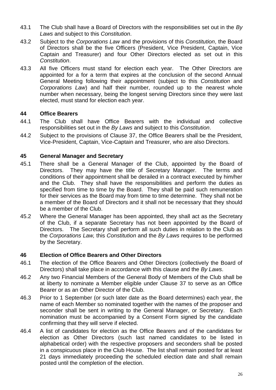- 43.1 The Club shall have a Board of Directors with the responsibilities set out in the *By Laws* and subject to this *Constitution*.
- 43.2 Subject to the *Corporations Law* and the provisions of this *Constitution*, the Board of Directors shall be the five Officers (President, Vice President, Captain, Vice Captain and Treasurer) and four Other Directors elected as set out in this *Constitution*.
- 43.3 All five Officers must stand for election each year. The Other Directors are appointed for a for a term that expires at the conclusion of the second Annual General Meeting following their appointment (subject to this *Constitution* and *Corporations Law*) and half their number, rounded up to the nearest whole number when necessary, being the longest serving Directors since they were last elected, must stand for election each year.

#### **44 Office Bearers**

- 44.1 The Club shall have Office Bearers with the individual and collective responsibilities set out in the *By Laws* and subject to this *Constitution*.
- 44.2 Subject to the provisions of Clause 37, the Office Bearers shall be the President, Vice-President, Captain, Vice-Captain and Treasurer, who are also Directors.

#### **45 General Manager and Secretary**

- 45.1 There shall be a General Manager of the Club, appointed by the Board of Directors. They may have the title of Secretary Manager. The terms and conditions of their appointment shall be derailed in a contract executed by him/her and the Club. They shall have the responsibilities and perform the duties as specified from time to time by the Board. They shall be paid such remuneration for their services as the Board may from time to time determine. They shall not be a member of the Board of Directors and it shall not be necessary that they should be a member of the Club.
- 45.2 Where the General Manager has been appointed, they shall act as the Secretary of the Club, if a separate Secretary has not been appointed by the Board of Directors. The Secretary shall perform all such duties in relation to the Club as the *Corporations Law,* this *Constitution* and the *By Laws* requires to be performed by the Secretary.

#### **46 Election of Office Bearers and Other Directors**

- 46.1 The election of the Office Bearers and Other Directors (collectively the Board of Directors) shall take place in accordance with this clause and the *By Laws*.
- 46.2 Any two Financial Members of the General Body of Members of the Club shall be at liberty to nominate a Member eligible under Clause 37 to serve as an Office Bearer or as an Other Director of the Club.
- 46.3 Prior to 1 September (or such later date as the Board determines) each year, the name of each Member so nominated together with the names of the proposer and seconder shall be sent in writing to the General Manager, or Secretary. Each nomination must be accompanied by a Consent Form signed by the candidate confirming that they will serve if elected.
- 46.4 A list of candidates for election as the Office Bearers and of the candidates for election as Other Directors (such last named candidates to be listed in alphabetical order) with the respective proposers and seconders shall be posted in a conspicuous place in the Club House. The list shall remain posted for at least 21 days immediately proceeding the scheduled election date and shall remain posted until the completion of the election.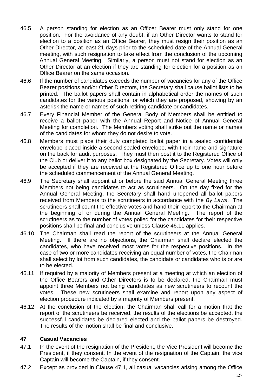- 46.5 A person standing for election as an Officer Bearer must only stand for one position. For the avoidance of any doubt, if an Other Director wants to stand for election to a position as an Office Bearer, they must resign their position as an Other Director, at least 21 days prior to the scheduled date of the Annual General meeting, with such resignation to take effect from the conclusion of the upcoming Annual General Meeting. Similarly, a person must not stand for election as an Other Director at an election if they are standing for election for a position as an Office Bearer on the same occasion.
- 46.6 If the number of candidates exceeds the number of vacancies for any of the Office Bearer positions and/or Other Directors, the Secretary shall cause ballot lists to be printed. The ballot papers shall contain in alphabetical order the names of such candidates for the various positions for which they are proposed, showing by an asterisk the name or names of such retiring candidate or candidates.
- 46.7 Every Financial Member of the General Body of Members shall be entitled to receive a ballot paper with the Annual Report and Notice of Annual General Meeting for completion. The Members voting shall strike out the name or names of the candidates for whom they do not desire to vote.
- 46.8 Members must place their duly completed ballot paper in a sealed confidential envelope placed inside a second sealed envelope, with their name and signature on the back for audit purposes. They must then post it to the Registered Office of the Club or deliver it to any ballot box designated by the Secretary. Votes will only be accepted if they are received at the Registered Office up to one hour before the scheduled commencement of the Annual General Meeting.
- 46.9 The Secretary shall appoint at or before the said Annual General Meeting three Members not being candidates to act as scrutineers. On the day fixed for the Annual General Meeting, the Secretary shall hand unopened all ballot papers received from Members to the scrutineers in accordance with the *By Laws*. The scrutineers shall count the effective votes and hand their report to the Chairman at the beginning of or during the Annual General Meeting. The report of the scrutineers as to the number of votes polled for the candidates for their respective positions shall be final and conclusive unless Clause 46.11 applies.
- 46.10 The Chairman shall read the report of the scrutineers at the Annual General Meeting. If there are no objections, the Chairman shall declare elected the candidates, who have received most votes for the respective positions. In the case of two or more candidates receiving an equal number of votes, the Chairman shall select by lot from such candidates, the candidate or candidates who is or are to be elected.
- 46.11 If required by a majority of Members present at a meeting at which an election of the Office Bearers and Other Directors is to be declared, the Chairman must appoint three Members not being candidates as new scrutineers to recount the votes. These new scrutineers shall examine and report upon any aspect of election procedure indicated by a majority of Members present.
- 46.12 At the conclusion of the election, the Chairman shall call for a motion that the report of the scrutineers be received, the results of the elections be accepted, the successful candidates be declared elected and the ballot papers be destroyed. The results of the motion shall be final and conclusive.

#### **47 Casual Vacancies**

- 47.1 In the event of the resignation of the President, the Vice President will become the President, if they consent. In the event of the resignation of the Captain, the vice Captain will become the Captain, if they consent.
- 47.2 Except as provided in Clause 47.1, all casual vacancies arising among the Office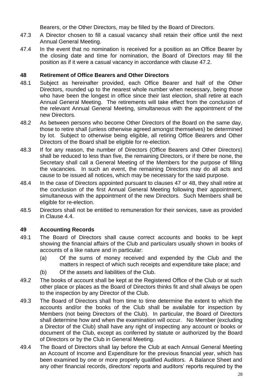Bearers, or the Other Directors, may be filled by the Board of Directors.

- 47.3 A Director chosen to fill a casual vacancy shall retain their office until the next Annual General Meeting.
- 47.4 In the event that no nomination is received for a position as an Office Bearer by the closing date and time for nomination, the Board of Directors may fill the position as if it were a casual vacancy in accordance with clause 47.2.

#### **48 Retirement of Office Bearers and Other Directors**

- 48.1 Subject as hereinafter provided, each Office Bearer and half of the Other Directors, rounded up to the nearest whole number when necessary, being those who have been the longest in office since their last election, shall retire at each Annual General Meeting. The retirements will take effect from the conclusion of the relevant Annual General Meeting, simultaneous with the appointment of the new Directors.
- 48.2 As between persons who become Other Directors of the Board on the same day, those to retire shall (unless otherwise agreed amongst themselves) be determined by lot. Subject to otherwise being eligible, all retiring Office Bearers and Other Directors of the Board shall be eligible for re-election.
- 48.3 If for any reason, the number of Directors (Office Bearers and Other Directors) shall be reduced to less than five, the remaining Directors, or if there be none, the Secretary shall call a General Meeting of the Members for the purpose of filling the vacancies. In such an event, the remaining Directors may do all acts and cause to be issued all notices, which may be necessary for the said purpose.
- 48.4 In the case of Directors appointed pursuant to clauses 47 or 48, they shall retire at the conclusion of the first Annual General Meeting following their appointment, simultaneous with the appointment of the new Directors. Such Members shall be eligible for re-election.
- 48.5 Directors shall not be entitled to remuneration for their services, save as provided in Clause 4.4.

#### **49 Accounting Records**

- 49.1 The Board of Directors shall cause correct accounts and books to be kept showing the financial affairs of the Club and particulars usually shown in books of accounts of a like nature and in particular:
	- (a) Of the sums of money received and expended by the Club and the matters in respect of which such receipts and expenditure take place; and
	- (b) Of the assets and liabilities of the Club.
- 49.2 The books of account shall be kept at the Registered Office of the Club or at such other place or places as the Board of Directors thinks fit and shall always be open to the inspection by any Director of the Club.
- 49.3 The Board of Directors shall from time to time determine the extent to which the accounts and/or the books of the Club shall be available for inspection by Members (not being Directors of the Club). In particular, the Board of Directors shall determine how and when the examination will occur. No Member (excluding a Director of the Club) shall have any right of inspecting any account or books or document of the Club, except as conferred by statute or authorized by the Board of Directors or by the Club in General Meeting.
- 49.4 The Board of Directors shall lay before the Club at each Annual General Meeting an Account of Income and Expenditure for the previous financial year, which has been examined by one or more properly qualified Auditors. A Balance Sheet and any other financial records, directors' reports and auditors' reports required by the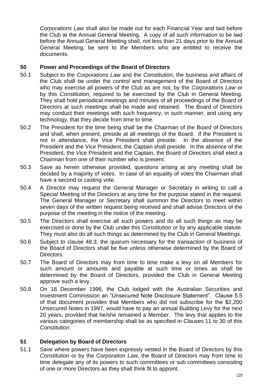*Corporations Law* shall also be made out for each Financial Year and laid before the Club at the Annual General Meeting. A copy of all such information to be laid before the Annual General Meeting shall, not less than 21 days prior to the Annual General Meeting, be sent to the Members who are entitled to receive the documents.

#### **50 Power and Proceedings of the Board of Directors**

- 50.1 Subject to the *Corporations Law* and the *Constitution*, the business and affairs of the Club shall be under the control and management of the Board of Directors who may exercise all powers of the Club as are not, by the *Corporations Law* or by this *Constitution,* required to be exercised by the Club in General Meeting. They shall hold periodical meetings and minutes of all proceedings of the Board of Directors at such meetings shall be made and retained. The Board of Directors may conduct their meetings with such frequency, in such manner, and using any technology, that they decide from time to time.
- 50.2 The President for the time being shall be the Chairman of the Board of Directors and shall, when present, preside at all meetings of the Board. If the President is not in attendance, the Vice President shall preside. In the absence of the President and the Vice President, the Captain shall preside. In the absence of the President, the Vice President and the Captain, the Board of Directors shall elect a Chairman from one of their number who is present.
- 50.3 Save as herein otherwise provided, questions arising at any meeting shall be decided by a majority of votes. In case of an equality of votes the Chairman shall have a second or casting vote.
- 50.4 A Director may request the General Manager or Secretary in writing to call a Special Meeting of the Directors at any time for the purpose stated in the request. The General Manager or Secretary shall summon the Directors to meet within seven days of the written request being received and shall advise Directors of the purpose of the meeting in the notice of the meeting.
- 50.5 The Directors shall exercise all such powers and do all such things as may be exercised or done by the Club under this *Constitution* or by any applicable statute. They must also do all such things as determined by the Club in General Meetings.
- 50.6 Subject to clause 48.3, the quorum necessary for the transaction of business of the Board of Directors shall be five unless otherwise determined by the Board of Directors.
- 50.7 The Board of Directors may from time to time make a levy on all Members for such amount or amounts and payable at such time or times as shall be determined by the Board of Directors, provided the Club in General Meeting approve such a levy.
- 50.8 On 18 December 1996, the Club lodged with the Australian Securities and Investment Commission an "Unsecured Note Disclosure Statement". Clause 5.5 of that document provides that Members who did not subscribe for the \$2,200 Unsecured Notes in 1997, would have to pay an annual Building Levy for the next 20 years, provided that he/she remained a Member. The levy that applies to the various categories of membership shall be as specified in Clauses 11 to 30 of this *Constitution*.

#### **51 Delegation by Board of Directors**

51.1 Save where powers have been expressly vested in the Board of Directors by this *Constitution* or by the *Corporation Law*, the Board of Directors may from time to time delegate any of its powers to such committees or sub committees consisting of one or more Directors as they shall think fit to appoint.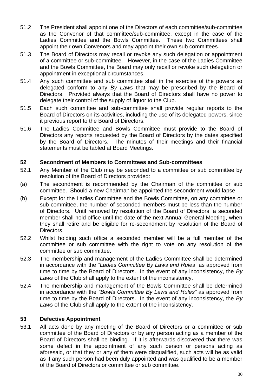- 51.2 The President shall appoint one of the Directors of each committee/sub-committee as the Convenor of that committee/sub-committee, except in the case of the Ladies Committee and the Bowls Committee. These two Committees shall appoint their own Convenors and may appoint their own sub committees.
- 51.3 The Board of Directors may recall or revoke any such delegation or appointment of a committee or sub-committee. However, in the case of the Ladies Committee and the Bowls Committee, the Board may only recall or revoke such delegation or appointment in exceptional circumstances.
- 51.4 Any such committee and sub committee shall in the exercise of the powers so delegated conform to any *By Laws* that may be prescribed by the Board of Directors. Provided always that the Board of Directors shall have no power to delegate their control of the supply of liquor to the Club.
- 51.5 Each such committee and sub-committee shall provide regular reports to the Board of Directors on its activities, including the use of its delegated powers, since it previous report to the Board of Directors.
- 51.6 The Ladies Committee and Bowls Committee must provide to the Board of Directors any reports requested by the Board of Directors by the dates specified by the Board of Directors. The minutes of their meetings and their financial statements must be tabled at Board Meetings.

#### **52 Secondment of Members to Committees and Sub-committees**

- 52.1 Any Member of the Club may be seconded to a committee or sub committee by resolution of the Board of Directors provided:
- (a) The secondment is recommended by the Chairman of the committee or sub committee. Should a new Chairman be appointed the secondment would lapse;
- (b) Except for the Ladies Committee and the Bowls Committee, on any committee or sub committee, the number of seconded members must be less than the number of Directors. Until removed by resolution of the Board of Directors, a seconded member shall hold office until the date of the next Annual General Meeting, when they shall retire and be eligible for re-secondment by resolution of the Board of Directors.
- 52.2 Whilst holding such office a seconded member will be a full member of the committee or sub committee with the right to vote on any resolution of the committee or sub committee.
- 52.3 The membership and management of the Ladies Committee shall be determined in accordance with the *"Ladies Committee By Laws and Rules"* as approved from time to time by the Board of Directors. In the event of any inconsistency, the *By Laws* of the Club shall apply to the extent of the inconsistency.
- 52.4 The membership and management of the Bowls Committee shall be determined in accordance with the *"Bowls Committee By Laws and Rules"* as approved from time to time by the Board of Directors. In the event of any inconsistency, the *By Laws* of the Club shall apply to the extent of the inconsistency.

#### **53 Defective Appointment**

53.1 All acts done by any meeting of the Board of Directors or a committee or sub committee of the Board of Directors or by any person acting as a member of the Board of Directors shall be binding. If it is afterwards discovered that there was some defect in the appointment of any such person or persons acting as aforesaid, or that they or any of them were disqualified, such acts will be as valid as if any such person had been duly appointed and was qualified to be a member of the Board of Directors or committee or sub committee.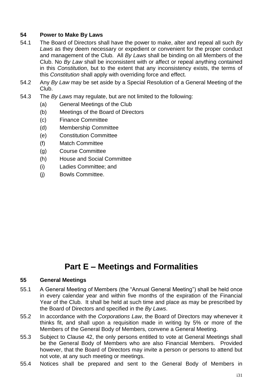#### **54 Power to Make By Laws**

- 54.1 The Board of Directors shall have the power to make, alter and repeal all such *By Laws* as they deem necessary or expedient or convenient for the proper conduct and management of the Club. All *By Laws* shall be binding on all Members of the Club. No *By Law* shall be inconsistent with or affect or repeal anything contained in this *Constitution*, but to the extent that any inconsistency exists, the terms of this *Constitution* shall apply with overriding force and effect.
- 54.2 Any *By Law* may be set aside by a Special Resolution of a General Meeting of the Club.
- 54.3 The *By Laws* may regulate, but are not limited to the following:
	- (a) General Meetings of the Club
	- (b) Meetings of the Board of Directors
	- (c) Finance Committee
	- (d) Membership Committee
	- (e) Constitution Committee
	- (f) Match Committee
	- (g) Course Committee
	- (h) House and Social Committee
	- (i) Ladies Committee; and
	- (j) Bowls Committee.

## **Part E – Meetings and Formalities**

#### **55 General Meetings**

- 55.1 A General Meeting of Members (the "Annual General Meeting") shall be held once in every calendar year and within five months of the expiration of the Financial Year of the Club. It shall be held at such time and place as may be prescribed by the Board of Directors and specified in the *By Laws*.
- 55.2 In accordance with the *Corporations Law*, the Board of Directors may whenever it thinks fit, and shall upon a requisition made in writing by 5% or more of the Members of the General Body of Members, convene a General Meeting.
- 55.3 Subject to Clause 42, the only persons entitled to vote at General Meetings shall be the General Body of Members who are also Financial Members. Provided however, that the Board of Directors may invite a person or persons to attend but not vote, at any such meeting or meetings.
- 55.4 Notices shall be prepared and sent to the General Body of Members in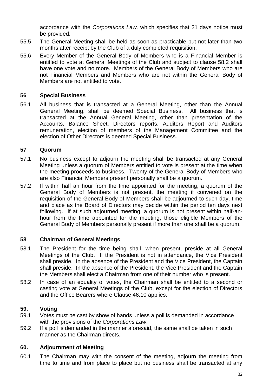accordance with the *Corporations Law,* which specifies that 21 days notice must be provided.

- 55.5 The General Meeting shall be held as soon as practicable but not later than two months after receipt by the Club of a duly completed requisition.
- 55.6 Every Member of the General Body of Members who is a Financial Member is entitled to vote at General Meetings of the Club and subject to clause 58.2 shall have one vote and no more. Members of the General Body of Members who are not Financial Members and Members who are not within the General Body of Members are not entitled to vote.

#### **56 Special Business**

56.1 All business that is transacted at a General Meeting, other than the Annual General Meeting, shall be deemed Special Business. All business that is transacted at the Annual General Meeting, other than presentation of the Accounts, Balance Sheet, Directors reports, Auditors Report and Auditors remuneration, election of members of the Management Committee and the election of Other Directors is deemed Special Business.

#### **57 Quorum**

- 57.1 No business except to adjourn the meeting shall be transacted at any General Meeting unless a quorum of Members entitled to vote is present at the time when the meeting proceeds to business. Twenty of the General Body of Members who are also Financial Members present personally shall be a quorum.
- 57.2 If within half an hour from the time appointed for the meeting, a quorum of the General Body of Members is not present, the meeting if convened on the requisition of the General Body of Members shall be adjourned to such day, time and place as the Board of Directors may decide within the period ten days next following. If at such adjourned meeting, a quorum is not present within half-anhour from the time appointed for the meeting, those eligible Members of the General Body of Members personally present if more than one shall be a quorum.

#### **58 Chairman of General Meetings**

- 58.1 The President for the time being shall, when present, preside at all General Meetings of the Club. If the President is not in attendance, the Vice President shall preside. In the absence of the President and the Vice President, the Captain shall preside. In the absence of the President, the Vice President and the Captain the Members shall elect a Chairman from one of their number who is present.
- 58.2 In case of an equality of votes, the Chairman shall be entitled to a second or casting vote at General Meetings of the Club, except for the election of Directors and the Office Bearers where Clause 46.10 applies.

#### **59. Voting**

- 59.1 Votes must be cast by show of hands unless a poll is demanded in accordance with the provisions of the *Corporations Law*.
- 59.2 If a poll is demanded in the manner aforesaid, the same shall be taken in such manner as the Chairman directs.

#### **60. Adjournment of Meeting**

60.1 The Chairman may with the consent of the meeting, adjourn the meeting from time to time and from place to place but no business shall be transacted at any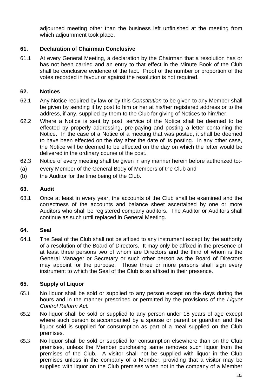adjourned meeting other than the business left unfinished at the meeting from which adjournment took place.

#### **61. Declaration of Chairman Conclusive**

61.1 At every General Meeting, a declaration by the Chairman that a resolution has or has not been carried and an entry to that effect in the Minute Book of the Club shall be conclusive evidence of the fact. Proof of the number or proportion of the votes recorded in favour or against the resolution is not required.

#### **62. Notices**

- 62.1 Any Notice required by law or by this *Constitution* to be given to any Member shall be given by sending it by post to him or her at his/her registered address or to the address, if any, supplied by them to the Club for giving of Notices to him/her.
- 62.2 Where a Notice is sent by post, service of the Notice shall be deemed to be effected by properly addressing, pre-paying and posting a letter containing the Notice. In the case of a Notice of a meeting that was posted, it shall be deemed to have been effected on the day after the date of its posting. In any other case, the Notice will be deemed to be effected on the day on which the letter would be delivered in the ordinary course of the post.
- 62.3 Notice of every meeting shall be given in any manner herein before authorized to:-
- (a) every Member of the General Body of Members of the Club and
- (b) the Auditor for the time being of the Club.

#### **63. Audit**

63.1 Once at least in every year, the accounts of the Club shall be examined and the correctness of the accounts and balance sheet ascertained by one or more Auditors who shall be registered company auditors. The Auditor or Auditors shall continue as such until replaced in General Meeting.

#### **64. Seal**

64.1 The Seal of the Club shall not be affixed to any instrument except by the authority of a resolution of the Board of Directors. It may only be affixed in the presence of at least three persons two of whom are Directors and the third of whom is the General Manager or Secretary or such other person as the Board of Directors may appoint for the purpose. Those three or more persons shall sign every instrument to which the Seal of the Club is so affixed in their presence.

#### **65. Supply of Liquor**

- 65.1 No liquor shall be sold or supplied to any person except on the days during the hours and in the manner prescribed or permitted by the provisions of the *Liquor Control Reform Act.*
- 65.2 No liquor shall be sold or supplied to any person under 18 years of age except where such person is accompanied by a spouse or parent or guardian and the liquor sold is supplied for consumption as part of a meal supplied on the Club premises.
- 65.3 No liquor shall be sold or supplied for consumption elsewhere than on the Club premises, unless the Member purchasing same removes such liquor from the premises of the Club. A visitor shall not be supplied with liquor in the Club premises unless in the company of a Member, providing that a visitor may be supplied with liquor on the Club premises when not in the company of a Member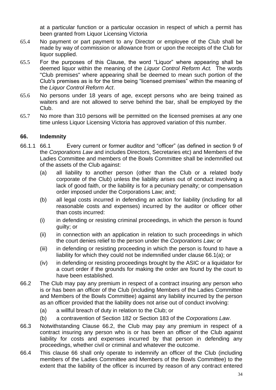at a particular function or a particular occasion in respect of which a permit has been granted from Liquor Licensing Victoria

- 65.4 No payment or part payment to any Director or employee of the Club shall be made by way of commission or allowance from or upon the receipts of the Club for liquor supplied.
- 65.5 For the purposes of this Clause, the word "Liquor" where appearing shall be deemed liquor within the meaning of the *Liquor Control Reform Act.* The words "Club premises" where appearing shall be deemed to mean such portion of the Club's premises as is for the time being "licensed premises" within the meaning of the *Liquor Control Reform Act*.
- 65.6 No persons under 18 years of age, except persons who are being trained as waiters and are not allowed to serve behind the bar, shall be employed by the Club.
- 65.7 No more than 310 persons will be permitted on the licensed premises at any one time unless Liquor Licensing Victoria has approved variation of this number.

#### **66. Indemnity**

- 66.1.1 66.1 Every current or former auditor and "officer" (as defined in section 9 of the *Corporations Law* and includes Directors, Secretaries etc) and Members of the Ladies Committee and members of the Bowls Committee shall be indemnified out of the assets of the Club against:
	- (a) all liability to another person (other than the Club or a related body corporate of the Club) unless the liability arises out of conduct involving a lack of good faith, or the liability is for a pecuniary penalty; or compensation order imposed under the Corporations Law; and;
	- (b) all legal costs incurred in defending an action for liability (including for all reasonable costs and expenses) incurred by the auditor or officer other than costs incurred:
	- (i) in defending or resisting criminal proceedings, in which the person is found guilty; or
	- (ii) in connection with an application in relation to such proceedings in which the court denies relief to the person under the *Corporations Law; or*
	- (iii) in defending or resisting proceeding in which the person is found to have a liability for which they could not be indemnified under clause 66.1(a); or
	- (iv) in defending or resisting proceedings brought by the ASIC or a liquidator for a court order if the grounds for making the order are found by the court to have been established.
- 66.2 The Club may pay any premium in respect of a contract insuring any person who is or has been an officer of the Club (including Members of the Ladies Committee and Members of the Bowls Committee) against any liability incurred by the person as an officer provided that the liability does not arise out of conduct involving:
	- (a) a willful breach of duty in relation to the Club; or
	- (b) a contravention of Section 182 or Section 183 of the *Corporations Law*.
- 66.3 Notwithstanding Clause 66.2, the Club may pay any premium in respect of a contract insuring any person who is or has been an officer of the Club against liability for costs and expenses incurred by that person in defending any proceedings, whether civil or criminal and whatever the outcome.
- 66.4 This clause 66 shall only operate to indemnify an officer of the Club (including members of the Ladies Committee and Members of the Bowls Committee) to the extent that the liability of the officer is incurred by reason of any contract entered